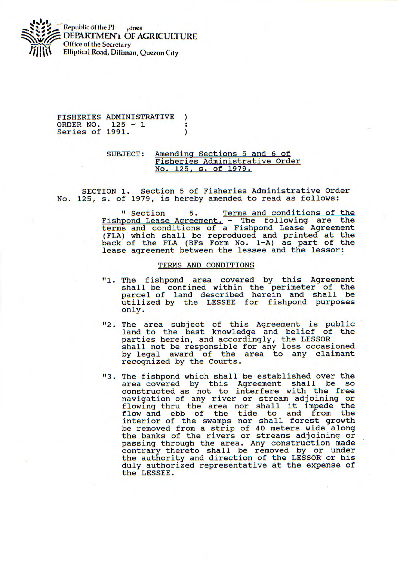

FISHERIES ADMINISTRATIVE  $\mathcal{L}$ ORDER NO. 125 - 1 т Series of 1991.  $\lambda$ 

## SUBJECT: Amending Sections 5 and 6 of Fisheries Administrative Order No. 125, s. of 1979.

SECTION 1. Section 5 of Fisheries Administrative Order No. 125, s. of 1979, is hereby amended to read as follows:

> " Section 5. Terms and conditions of the Fishpond Lease Agreement. - The following are the terms and conditions of a Fishpond Lease Agreement (FLA) which shall be reproduced and printed at the back of the FLA (BF5 Form No. 1-A) as part of the lease agreement between the lessee and the lessor:

## TERMS AND CONDITIONS

- "1. The fishpond area covered by this Agreement shall be confined within the perimeter of the parcel of land described herein and shall be utilized by the LESSEE for fishpond purposes only.
- "2. The area subject of this Agreement is public land to the best knowledge and belief of the parties herein, and accordingly, the LESSOR shall not be responsible for any loss occasioned by legal award of the area to any claimant recognized by the Courts.
- 113. The fishpond which shall be established over the area covered by this Agreement shall be so constructed as not to interfere with the free navigation of any river or stream adjoining or flowing thru the area nor shall it impede the flow and ebb of the tide to and from the interior of the swamps nor shall forest growth be removed from a strip of 40 meters wide along the banks of the rivers or streams adjoining or passing through the area. Any construction made contrary thereto shall be removed by or under the authority and direction of the LESSOR or his duly authorized representative at the expense of the LESSEE.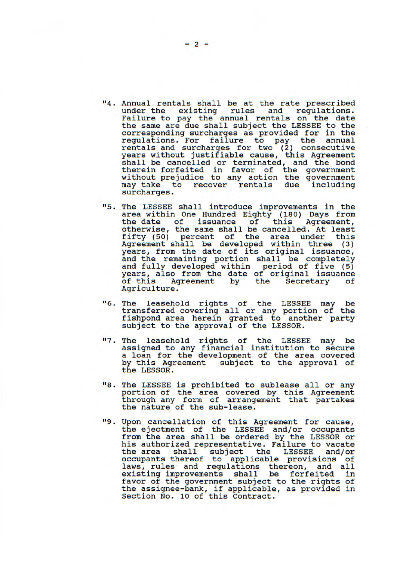- "4. Annual rentals shall be at the rate prescribed under the existing rules and regulations. Failure to pay the annual rentals on the date the same are due shall subject the LESSEE to the corresponding surcharges as provided for in the regulations. For failure to pay the annual rentals and surcharges for two (2) consecutive years without justifiable cause, this Agreement shall be cancelled or terminated, and the bond therein forfeited in favor of the government without prejudice to any action the government may take to recover rentals due including surcharges.
- 115. The LESSEE shall introduce improvements in the area within One Hundred Eighty (180) Days from the date of issuance of this Agreement, the date of issuance of this Agreement,<br>otherwise, the same shall be cancelled. At least<br>fifty (50) percent of the area under this fifty (50) percent of the area under this Agreement shall be developed within three (3) years, from the date of its original issuance, and the remaining portion shall be completely and fully developed within period of five (5) years, also from the date of original issuance of this Agreement by the Secretary of of this Ag<br>Agriculture.
- 116. The leasehold rights of the LESSEE may be transferred covering all or any portion of the fishpond area herein granted to another party subject to the approval of the LESSOR.
- "7. The leasehold rights of the LESSEE may be assigned to any financial institution to secure a loan for the development of the area covered by this Agreement subject to the approval of the LESSOR.
- "8. The LESSEE is prohibited to sublease all or any portion of the area covered by this Agreement through any form of arrangement that partakes the nature of the sub-lease.
- 119. Upon cancellation of this Agreement for cause, the ejectment of the LESSEE and/or occupants from the area shall be ordered by the LESSOR or his authorized representative. Failure to vacate the area shall subject the LESSEE and/or occupants thereof to applicable provisions of laws, rules and regulations thereon, and all<br>existing improvements shall be forfeited in existing improvements shall be forfeited favor of the government subject to the rights of the assignee-bank, if applicable, as provided in Section No. 10 of this Contract.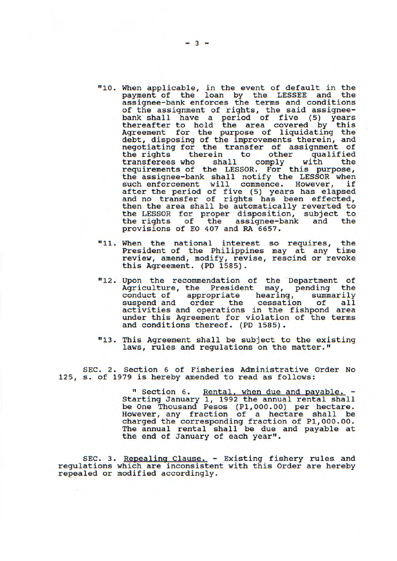- "10. When applicable, in the event of default in the payment of the loan by the LESSEE and the assignee-bank enforces the terms and conditions of the assignment of rights, the said assigneebank shall have a period of five (5) years thereafter to hold the area covered by this Agreement for the purpose of liquidating the debt, disposing of the improvements therein, and negotiating for the transfer of assignment of the rights therein to other qualified<br>transferees who shall comply with the transferees who shall comply with the requirements of the LESSOR. For this purpose, the assignee-bank shall notify the LESSOR when such enforcement will commence. However, if after the period of five (5) years has elapsed and no transfer of rights has been effected, then the area shall be automatically reverted to the LESSOR for proper disposition, subject to the rights of the assignee-bank and the provisions of EO 407 and RA 6657.
- "11. When the national interest so requires, the President of the Philippines may at any time review, amend, modify, revise, rescind or revoke this Agreement. (PD 1585).
- **<sup>11</sup>**12. Upon the recommendation of the Department of Agriculture, the President may, pending the conduct of appropriate hearing, summarily suspend and order the cessation of all activities and operations in the fishpond area under this Agreement for violation of the terms and conditions thereof. (PD 1585).
- **<sup>11</sup>**13. This Agreement shall be subject to the existing laws, rules and regulations on the matter."

SEC. 2. Section 6 of Fisheries Administrative Order No 125, s. of 1979 is hereby amended to read as follows:

> " Section 6. Rental, when due and payable. -Starting January 1, 1992 the annual rental shall be One Thousand Pesos (P1,000.00) per hectare. However, any fraction of a hectare shall be charged the corresponding fraction of P1,000.00. The annual rental shall be due and payable at the end of January of each year".

SEC. 3. Repealing Clause. - Existing fishery rules and regulations which are inconsistent with this Order are hereby repealed or modified accordingly.